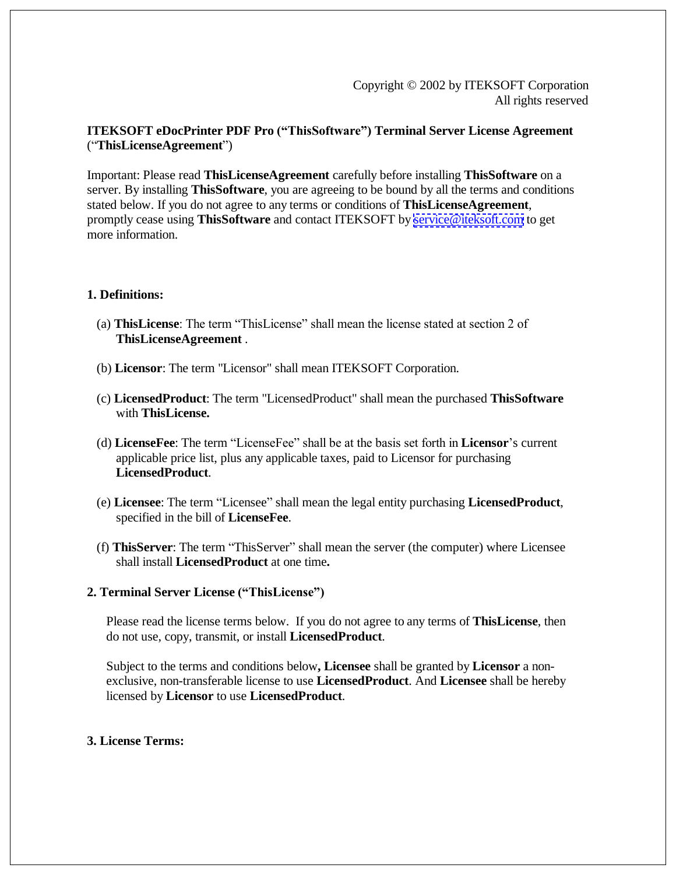Copyright © 2002 by ITEKSOFT Corporation All rights reserved

# **ITEKSOFT eDocPrinter PDF Pro ("ThisSoftware") Terminal Server License Agreement** ("**ThisLicenseAgreement**")

Important: Please read **ThisLicenseAgreement** carefully before installing **ThisSoftware** on a server. By installing **ThisSoftware**, you are agreeing to be bound by all the terms and conditions stated below. If you do not agree to any terms or conditions of **ThisLicenseAgreement**, promptly cease using **ThisSoftware** and contact ITEKSOFT by [service@iteksoft.com](mailto:service@iteksoft.com) to get more information.

## **1. Definitions:**

- (a) **ThisLicense**: The term "ThisLicense" shall mean the license stated at section 2 of **ThisLicenseAgreement** .
- (b) **Licensor**: The term "Licensor" shall mean ITEKSOFT Corporation.
- (c) **LicensedProduct**: The term "LicensedProduct" shall mean the purchased **ThisSoftware** with **ThisLicense.**
- (d) **LicenseFee**: The term "LicenseFee" shall be at the basis set forth in **Licensor**'s current applicable price list, plus any applicable taxes, paid to Licensor for purchasing **LicensedProduct**.
- (e) **Licensee**: The term "Licensee" shall mean the legal entity purchasing **LicensedProduct**, specified in the bill of **LicenseFee**.
- (f) **ThisServer**: The term "ThisServer" shall mean the server (the computer) where Licensee shall install **LicensedProduct** at one time**.**

## **2. Terminal Server License ("ThisLicense")**

Please read the license terms below. If you do not agree to any terms of **ThisLicense**, then do not use, copy, transmit, or install **LicensedProduct**.

Subject to the terms and conditions below**, Licensee** shall be granted by **Licensor** a nonexclusive, non-transferable license to use **LicensedProduct**. And **Licensee** shall be hereby licensed by **Licensor** to use **LicensedProduct**.

## **3. License Terms:**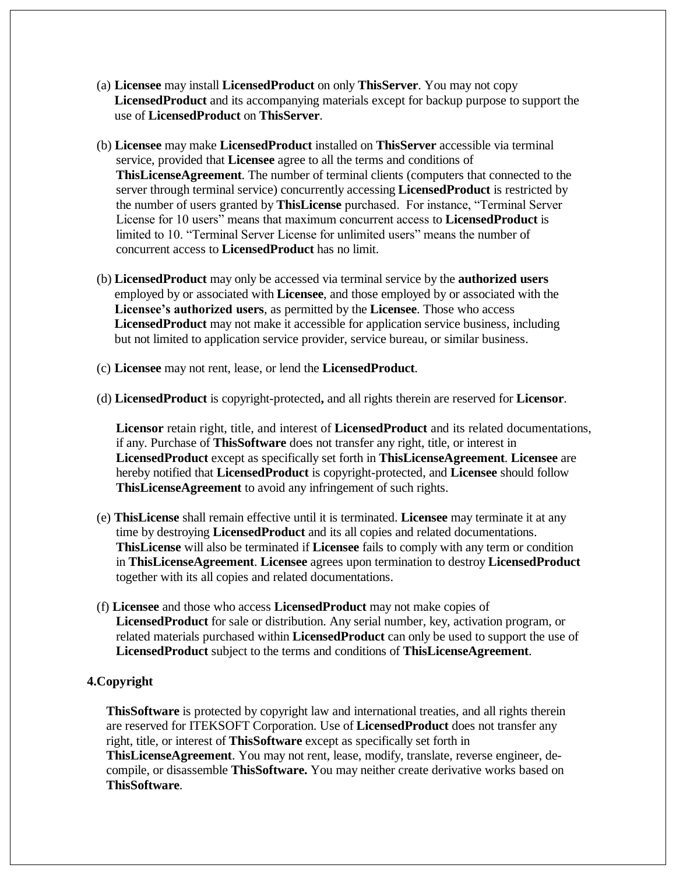- (a) **Licensee** may install **LicensedProduct** on only **ThisServer**. You may not copy **LicensedProduct** and its accompanying materials except for backup purpose to support the use of **LicensedProduct** on **ThisServer**.
- (b) **Licensee** may make **LicensedProduct** installed on **ThisServer** accessible via terminal service, provided that **Licensee** agree to all the terms and conditions of **ThisLicenseAgreement**. The number of terminal clients (computers that connected to the server through terminal service) concurrently accessing **LicensedProduct** is restricted by the number of users granted by **ThisLicense** purchased. For instance, "Terminal Server License for 10 users" means that maximum concurrent access to **LicensedProduct** is limited to 10. "Terminal Server License for unlimited users" means the number of concurrent access to **LicensedProduct** has no limit.
- (b) **LicensedProduct** may only be accessed via terminal service by the **authorized users** employed by or associated with **Licensee**, and those employed by or associated with the **Licensee's authorized users**, as permitted by the **Licensee**. Those who access **LicensedProduct** may not make it accessible for application service business, including but not limited to application service provider, service bureau, or similar business.
- (c) **Licensee** may not rent, lease, or lend the **LicensedProduct**.
- (d) **LicensedProduct** is copyright-protected**,** and all rights therein are reserved for **Licensor**.

 **Licensor** retain right, title, and interest of **LicensedProduct** and its related documentations, if any. Purchase of **ThisSoftware** does not transfer any right, title, or interest in **LicensedProduct** except as specifically set forth in **ThisLicenseAgreement**. **Licensee** are hereby notified that **LicensedProduct** is copyright-protected, and **Licensee** should follow **ThisLicenseAgreement** to avoid any infringement of such rights.

- (e) **ThisLicense** shall remain effective until it is terminated. **Licensee** may terminate it at any time by destroying **LicensedProduct** and its all copies and related documentations. **ThisLicense** will also be terminated if **Licensee** fails to comply with any term or condition in **ThisLicenseAgreement**. **Licensee** agrees upon termination to destroy **LicensedProduct** together with its all copies and related documentations.
- (f) **Licensee** and those who access **LicensedProduct** may not make copies of **LicensedProduct** for sale or distribution. Any serial number, key, activation program, or related materials purchased within **LicensedProduct** can only be used to support the use of **LicensedProduct** subject to the terms and conditions of **ThisLicenseAgreement**.

#### **4.Copyright**

**ThisSoftware** is protected by copyright law and international treaties, and all rights therein are reserved for ITEKSOFT Corporation. Use of **LicensedProduct** does not transfer any right, title, or interest of **ThisSoftware** except as specifically set forth in

**ThisLicenseAgreement**. You may not rent, lease, modify, translate, reverse engineer, decompile, or disassemble **ThisSoftware.** You may neither create derivative works based on **ThisSoftware**.